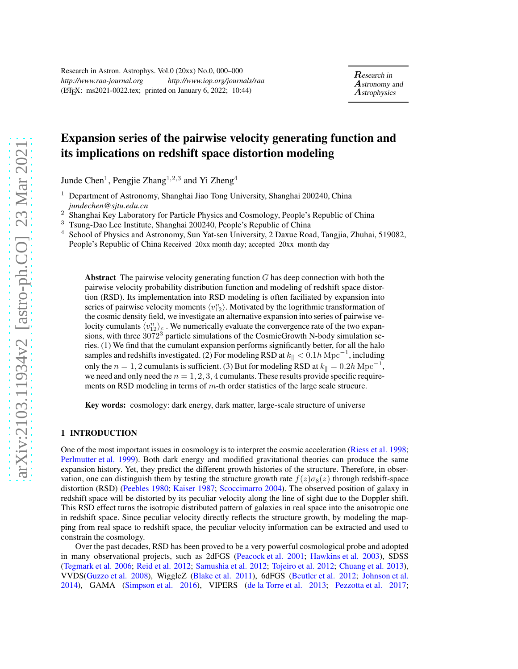# <span id="page-0-0"></span>Expansion series of the pairwise velocity generating function and its implications on redshift space distortion modeling

Junde Chen<sup>1</sup>, Pengjie Zhang<sup>1,2,3</sup> and Yi Zheng<sup>4</sup>

- <sup>1</sup> Department of Astronomy, Shanghai Jiao Tong University, Shanghai 200240, China *jundechen@sjtu.edu.cn*
- <sup>2</sup> Shanghai Key Laboratory for Particle Physics and Cosmology, People's Republic of China<br><sup>3</sup> Tsung-Dao Lee Institute, Shanghai 200240, People's Republic of China
- <sup>3</sup> Tsung-Dao Lee Institute, Shanghai 200240, People's Republic of China
- <sup>4</sup> School of Physics and Astronomy, Sun Yat-sen University, 2 Daxue Road, Tangjia, Zhuhai, 519082, People's Republic of China Received 20xx month day; accepted 20xx month day

**Abstract** The pairwise velocity generating function  $G$  has deep connection with both the pairwise velocity probability distribution function and modeling of redshift space distortion (RSD). Its implementation into RSD modeling is often faciliated by expansion into series of pairwise velocity moments  $\langle v_{12}^n \rangle$ . Motivated by the logrithmic transformation of the cosmic density field, we investigate an alternative expansion into series of pairwise velocity cumulants  $\langle v_{12}^n \rangle_c$ . We numerically evaluate the convergence rate of the two expansions, with three  $3072<sup>3</sup>$  particle simulations of the CosmicGrowth N-body simulation series. (1) We find that the cumulant expansion performs significantly better, for all the halo samples and redshifts investigated. (2) For modeling RSD at  $k_{\parallel} < 0.1h{\rm\,Mpc}^{-1}$ , including only the  $n = 1, 2$  cumulants is sufficient. (3) But for modeling RSD at  $k_{\parallel} = 0.2h{\rm\;Mpc}^{-1}$ , we need and only need the  $n = 1, 2, 3, 4$  cumulants. These results provide specific requirements on RSD modeling in terms of m-th order statistics of the large scale strucure.

Key words: cosmology: dark energy, dark matter, large-scale structure of universe

# 1 INTRODUCTION

One of the most important issues in cosmology is to interpret the cosmic acceleration [\(Riess et al. 1998](#page-18-0); [Perlmutter et al. 1999\)](#page-18-1). Both dark energy and modified gravitational theories can produce the same expansion history. Yet, they predict the different growth histories of the structure. Therefore, in observation, one can distinguish them by testing the structure growth rate  $f(z)\sigma_8(z)$  through redshift-space distortion (RSD) [\(Peebles 1980](#page-18-2); [Kaiser 1987;](#page-18-3) [Scoccimarro 2004](#page-18-4)). The observed position of galaxy in redshift space will be distorted by its peculiar velocity along the line of sight due to the Doppler shift. This RSD effect turns the isotropic distributed pattern of galaxies in real space into the anisotropic one in redshift space. Since peculiar velocity directly reflects the structure growth, by modeling the mapping from real space to redshift space, the peculiar velocity information can be extracted and used to constrain the cosmology.

Over the past decades, RSD has been proved to be a very powerful cosmological probe and adopted in many observational projects, such as 2dFGS [\(Peacock et al. 2001;](#page-18-5) [Hawkins et al. 2003\)](#page-17-0), SDSS [\(Tegmark et al. 2006;](#page-18-6) [Reid et al. 2012;](#page-18-7) [Samushia et al. 2012;](#page-18-8) [Tojeiro et al. 2012](#page-18-9); [Chuang et al. 2013](#page-17-1)), VVDS[\(Guzzo et al. 2008\)](#page-17-2), WiggleZ [\(Blake et al. 2011\)](#page-17-3), 6dFGS [\(Beutler et al. 2012;](#page-17-4) [Johnson et al.](#page-17-5) [2014\)](#page-17-5), GAMA [\(Simpson et al. 2016\)](#page-18-10), VIPERS [\(de la Torre et al. 2013;](#page-17-6) [Pezzotta et al. 2017](#page-18-11);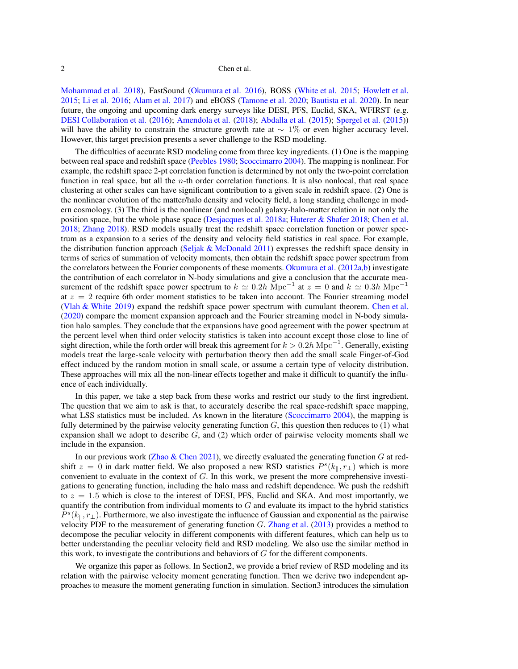<span id="page-1-0"></span>[Mohammad et al. 2018](#page-18-12)), FastSound [\(Okumura et al. 2016\)](#page-18-13), BOSS [\(White et al. 2015;](#page-18-14) [Howlett et al.](#page-17-7) [2015;](#page-17-7) [Li et al. 2016;](#page-18-15) [Alam et al. 2017\)](#page-17-8) and eBOSS [\(Tamone et al. 2020;](#page-18-16) [Bautista et al. 2020\)](#page-17-9). In near future, the ongoing and upcoming dark energy surveys like DESI, PFS, Euclid, SKA, WFIRST (e.g. [DESI Collaboration et al.](#page-17-10) [\(2016\)](#page-17-10); [Amendola et al.](#page-17-11) [\(2018](#page-17-11)); [Abdalla et al.](#page-17-12) [\(2015\)](#page-17-12); [Spergel et al.](#page-18-17) [\(2015\)](#page-18-17)) will have the ability to constrain the structure growth rate at  $\sim 1\%$  or even higher accuracy level. However, this target precision presents a sever challenge to the RSD modeling.

The difficulties of accurate RSD modeling come from three key ingredients. (1) One is the mapping between real space and redshift space [\(Peebles 1980;](#page-18-2) [Scoccimarro 2004\)](#page-18-4). The mapping is nonlinear. For example, the redshift space 2-pt correlation function is determined by not only the two-point correlation function in real space, but all the  $n$ -th order correlation functions. It is also nonlocal, that real space clustering at other scales can have significant contribution to a given scale in redshift space. (2) One is the nonlinear evolution of the matter/halo density and velocity field, a long standing challenge in modern cosmology. (3) The third is the nonlinear (and nonlocal) galaxy-halo-matter relation in not only the position space, but the whole phase space [\(Desjacques et al. 2018a;](#page-17-13) [Huterer & Shafer 2018;](#page-17-14) [Chen et al.](#page-17-15) [2018;](#page-17-15) [Zhang 2018\)](#page-18-18). RSD models usually treat the redshift space correlation function or power spectrum as a expansion to a series of the density and velocity field statistics in real space. For example, the distribution function approach [\(Seljak & McDonald 2011](#page-18-19)) expresses the redshift space density in terms of series of summation of velocity moments, then obtain the redshift space power spectrum from the correlators between the Fourier components of these moments. [Okumura et al.](#page-18-20) [\(2012a](#page-18-20)[,b\)](#page-18-21) investigate the contribution of each correlator in N-body simulations and give a conclusion that the accurate measurement of the redshift space power spectrum to  $k \approx 0.2h \text{ Mpc}^{-1}$  at  $z = 0$  and  $k \approx 0.3h \text{ Mpc}^{-1}$ at  $z = 2$  require 6th order moment statistics to be taken into account. The Fourier streaming model [\(Vlah & White 2019\)](#page-18-22) expand the redshift space power spectrum with cumulant theorem. [Chen et al.](#page-17-16) [\(2020\)](#page-17-16) compare the moment expansion approach and the Fourier streaming model in N-body simulation halo samples. They conclude that the expansions have good agreement with the power spectrum at the percent level when third order velocity statistics is taken into account except those close to line of sight direction, while the forth order will break this agreement for  $k > 0.2h{\rm\;Mpc}^{-1}$ . Generally, existing models treat the large-scale velocity with perturbation theory then add the small scale Finger-of-God effect induced by the random motion in small scale, or assume a certain type of velocity distribution. These approaches will mix all the non-linear effects together and make it difficult to quantify the influence of each individually.

In this paper, we take a step back from these works and restrict our study to the first ingredient. The question that we aim to ask is that, to accurately describe the real space-redshift space mapping, what LSS statistics must be included. As known in the literature [\(Scoccimarro 2004](#page-18-4)), the mapping is fully determined by the pairwise velocity generating function  $G$ , this question then reduces to (1) what expansion shall we adopt to describe  $G$ , and  $(2)$  which order of pairwise velocity moments shall we include in the expansion.

In our previous work [\(Zhao & Chen 2021\)](#page-18-23), we directly evaluated the generating function  $G$  at redshift  $z = 0$  in dark matter field. We also proposed a new RSD statistics  $P^{s}(k_{\parallel}, r_{\perp})$  which is more convenient to evaluate in the context of G. In this work, we present the more comprehensive investigations to generating function, including the halo mass and redshift dependence. We push the redshift to  $z = 1.5$  which is close to the interest of DESI, PFS, Euclid and SKA. And most importantly, we quantify the contribution from individual moments to  $G$  and evaluate its impact to the hybrid statistics  $P^{s}(k_{\parallel}, r_{\perp})$ . Furthermore, we also investigate the influence of Gaussian and exponential as the pairwise velocity PDF to the measurement of generating function  $G$ . [Zhang et al.](#page-18-24) [\(2013\)](#page-18-24) provides a method to decompose the peculiar velocity in different components with different features, which can help us to better understanding the peculiar velocity field and RSD modeling. We also use the similar method in this work, to investigate the contributions and behaviors of G for the different components.

We organize this paper as follows. In Section2, we provide a brief review of RSD modeling and its relation with the pairwise velocity moment generating function. Then we derive two independent approaches to measure the moment generating function in simulation. Section3 introduces the simulation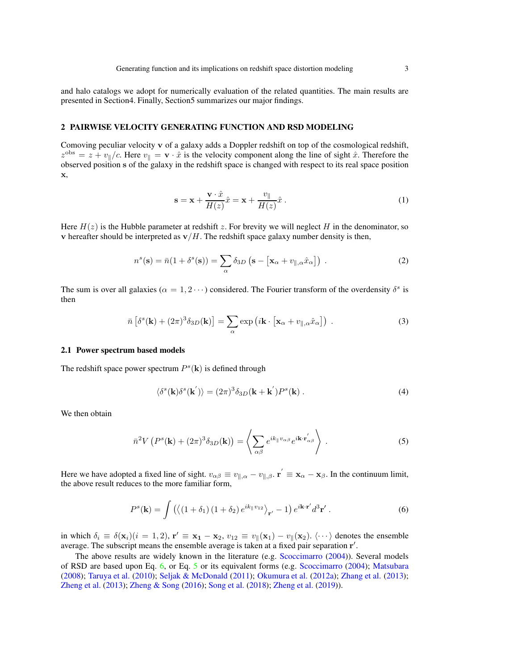<span id="page-2-2"></span>and halo catalogs we adopt for numerically evaluation of the related quantities. The main results are presented in Section4. Finally, Section5 summarizes our major findings.

## 2 PAIRWISE VELOCITY GENERATING FUNCTION AND RSD MODELING

Comoving peculiar velocity v of a galaxy adds a Doppler redshift on top of the cosmological redshift,  $z^{\text{obs}} = z + v_{\parallel}/c$ . Here  $v_{\parallel} = \mathbf{v} \cdot \hat{x}$  is the velocity component along the line of sight  $\hat{x}$ . Therefore the observed position s of the galaxy in the redshift space is changed with respect to its real space position x,

$$
\mathbf{s} = \mathbf{x} + \frac{\mathbf{v} \cdot \hat{x}}{H(z)} \hat{x} = \mathbf{x} + \frac{v_{\parallel}}{H(z)} \hat{x} .
$$
 (1)

Here  $H(z)$  is the Hubble parameter at redshift z. For brevity we will neglect H in the denominator, so v hereafter should be interpreted as  $v/H$ . The redshift space galaxy number density is then,

$$
n^{s}(\mathbf{s}) = \bar{n}(1 + \delta^{s}(\mathbf{s})) = \sum_{\alpha} \delta_{3D} (\mathbf{s} - [\mathbf{x}_{\alpha} + v_{\parallel,\alpha} \hat{x}_{\alpha}])
$$
 (2)

The sum is over all galaxies ( $\alpha = 1, 2 \cdots$ ) considered. The Fourier transform of the overdensity  $\delta^s$  is then

$$
\bar{n} \left[ \delta^s(\mathbf{k}) + (2\pi)^3 \delta_{3D}(\mathbf{k}) \right] = \sum_{\alpha} \exp \left( i \mathbf{k} \cdot \left[ \mathbf{x}_{\alpha} + v_{\parallel,\alpha} \hat{x}_{\alpha} \right] \right) \,. \tag{3}
$$

## 2.1 Power spectrum based models

The redshift space power spectrum  $P^s(\mathbf{k})$  is defined through

$$
\langle \delta^s(\mathbf{k}) \delta^s(\mathbf{k'}) \rangle = (2\pi)^3 \delta_{3D}(\mathbf{k} + \mathbf{k'}) P^s(\mathbf{k}). \tag{4}
$$

We then obtain

<span id="page-2-1"></span>
$$
\bar{n}^2 V \left( P^s(\mathbf{k}) + (2\pi)^3 \delta_{3D}(\mathbf{k}) \right) = \left\langle \sum_{\alpha\beta} e^{ik_{\parallel}v_{\alpha\beta}} e^{i\mathbf{k} \cdot \mathbf{r}'_{\alpha\beta}} \right\rangle . \tag{5}
$$

Here we have adopted a fixed line of sight.  $v_{\alpha\beta} \equiv v_{\parallel,\alpha} - v_{\parallel,\beta}$ .  $\mathbf{r}' \equiv \mathbf{x}_{\alpha} - \mathbf{x}_{\beta}$ . In the continuum limit, the above result reduces to the more familiar form,

<span id="page-2-0"></span>
$$
P^{s}(\mathbf{k}) = \int \left( \langle (1 + \delta_{1}) (1 + \delta_{2}) e^{ik_{\parallel}v_{12}} \rangle_{\mathbf{r}'} - 1 \right) e^{i\mathbf{k} \cdot \mathbf{r}'} d^{3} \mathbf{r}' . \tag{6}
$$

in which  $\delta_i \equiv \delta(\mathbf{x}_i)(i = 1, 2)$ ,  $\mathbf{r}' \equiv \mathbf{x}_1 - \mathbf{x}_2$ ,  $v_{12} \equiv v_{\parallel}(\mathbf{x}_1) - v_{\parallel}(\mathbf{x}_2)$ .  $\langle \cdots \rangle$  denotes the ensemble average. The subscript means the ensemble average is taken at a fixed pair separation r'.

The above results are widely known in the literature (e.g. [Scoccimarro](#page-18-4) [\(2004](#page-18-4))). Several models of RSD are based upon Eq. [6,](#page-2-0) or Eq. [5](#page-2-1) or its equivalent forms (e.g. [Scoccimarro](#page-18-4) [\(2004\)](#page-18-4); [Matsubara](#page-18-25) [\(2008\)](#page-18-25); [Taruya et al.](#page-18-26) [\(2010\)](#page-18-26); [Seljak & McDonald](#page-18-19) [\(2011\)](#page-18-19); [Okumura et al.](#page-18-20) [\(2012a\)](#page-18-20); [Zhang et al.](#page-18-24) [\(2013\)](#page-18-24); [Zheng et al.](#page-18-27) [\(2013](#page-18-27)); [Zheng & Song](#page-18-28) [\(2016](#page-18-28)); [Song et al.](#page-18-29) [\(2018\)](#page-18-29); [Zheng et al.](#page-18-30) [\(2019\)](#page-18-30)).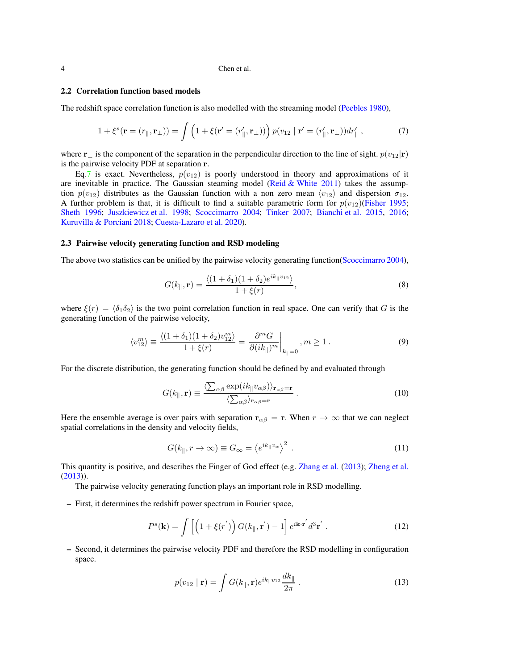#### <span id="page-3-2"></span>2.2 Correlation function based models

The redshift space correlation function is also modelled with the streaming model [\(Peebles 1980\)](#page-18-2),

<span id="page-3-0"></span>
$$
1 + \xi^s(\mathbf{r} = (r_{\parallel}, \mathbf{r}_{\perp})) = \int \left(1 + \xi(\mathbf{r}' = (r'_{\parallel}, \mathbf{r}_{\perp}))\right) p(v_{12} \mid \mathbf{r}' = (r'_{\parallel}, \mathbf{r}_{\perp})) dr'_{\parallel},\tag{7}
$$

where  $\mathbf{r}_{\perp}$  is the component of the separation in the perpendicular direction to the line of sight.  $p(v_{12}|\mathbf{r})$ is the pairwise velocity PDF at separation r.

Eq[.7](#page-3-0) is exact. Nevertheless,  $p(v_{12})$  is poorly understood in theory and approximations of it are inevitable in practice. The Gaussian steaming model [\(Reid & White 2011\)](#page-18-31) takes the assumption  $p(v_{12})$  distributes as the Gaussian function with a non zero mean  $\langle v_{12} \rangle$  and dispersion  $\sigma_{12}$ . A further problem is that, it is difficult to find a suitable parametric form for  $p(v_{12})$ [\(Fisher 1995](#page-17-17); [Sheth 1996](#page-18-32); [Juszkiewicz et al. 1998](#page-17-18); [Scoccimarro 2004;](#page-18-4) [Tinker 2007](#page-18-33); [Bianchi et al. 2015,](#page-17-19) [2016](#page-17-20); [Kuruvilla & Porciani 2018;](#page-18-34) [Cuesta-Lazaro et al. 2020\)](#page-17-21).

## 2.3 Pairwise velocity generating function and RSD modeling

The above two statistics can be unified by the pairwise velocity generating function[\(Scoccimarro 2004](#page-18-4)),

$$
G(k_{\parallel}, \mathbf{r}) = \frac{\langle (1+\delta_1)(1+\delta_2)e^{ik_{\parallel}v_{12}} \rangle}{1+\xi(r)},
$$
\n(8)

where  $\xi(r) = \langle \delta_1 \delta_2 \rangle$  is the two point correlation function in real space. One can verify that G is the generating function of the pairwise velocity,

$$
\langle v_{12}^m \rangle \equiv \frac{\langle (1+\delta_1)(1+\delta_2)v_{12}^m \rangle}{1+\xi(r)} = \left. \frac{\partial^m G}{\partial (ik_{\parallel})^m} \right|_{k_{\parallel}=0}, \, m \ge 1 \,.
$$
 (9)

For the discrete distribution, the generating function should be defined by and evaluated through

$$
G(k_{\parallel}, \mathbf{r}) \equiv \frac{\langle \sum_{\alpha\beta} \exp(ik_{\parallel}v_{\alpha\beta}) \rangle_{\mathbf{r}_{\alpha\beta}=\mathbf{r}}}{\langle \sum_{\alpha\beta} \rangle_{\mathbf{r}_{\alpha\beta}=\mathbf{r}}}.
$$
 (10)

Here the ensemble average is over pairs with separation  $r_{\alpha\beta} = r$ . When  $r \to \infty$  that we can neglect spatial correlations in the density and velocity fields,

$$
G(k_{\parallel}, r \to \infty) \equiv G_{\infty} = \langle e^{ik_{\parallel}v_{\alpha}} \rangle^{2} . \tag{11}
$$

This quantity is positive, and describes the Finger of God effect (e.g. [Zhang et al.](#page-18-24) [\(2013\)](#page-18-24); [Zheng et al.](#page-18-27) [\(2013\)](#page-18-27)).

The pairwise velocity generating function plays an important role in RSD modelling.

– First, it determines the redshift power spectrum in Fourier space,

<span id="page-3-1"></span>
$$
P^{s}(\mathbf{k}) = \int \left[ \left( 1 + \xi(r') \right) G(k_{\parallel}, \mathbf{r'}) - 1 \right] e^{i\mathbf{k} \cdot \mathbf{r'}} d^{3} \mathbf{r'}.
$$
 (12)

– Second, it determines the pairwise velocity PDF and therefore the RSD modelling in configuration space.

$$
p(v_{12} \mid \mathbf{r}) = \int G(k_{\parallel}, \mathbf{r}) e^{ik_{\parallel} v_{12}} \frac{dk_{\parallel}}{2\pi} . \tag{13}
$$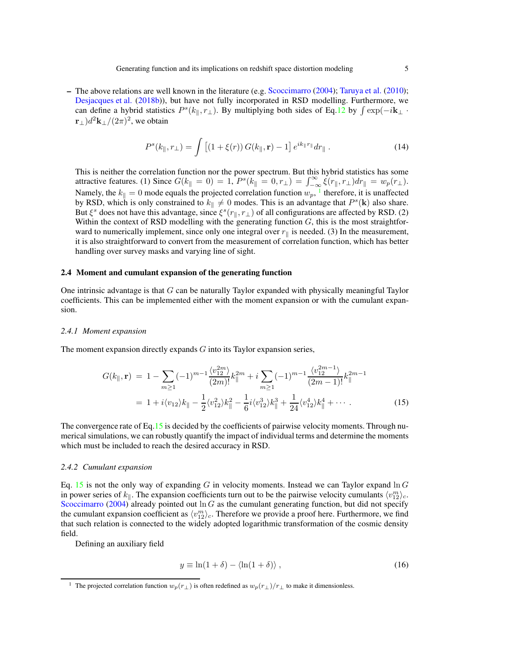<span id="page-4-3"></span>– The above relations are well known in the literature (e.g. [Scoccimarro](#page-18-4) [\(2004\)](#page-18-4); [Taruya et al.](#page-18-26) [\(2010\)](#page-18-26); [Desjacques et al.](#page-17-22) [\(2018b\)](#page-17-22)), but have not fully incorporated in RSD modelling. Furthermore, we can define a hybrid statistics  $P^s(k_{\parallel}, r_{\perp})$ . By multiplying both sides of Eq[.12](#page-3-1) by  $\int \exp(-i\mathbf{k}_{\perp} \cdot \mathbf{r})$  $(\mathbf{r}_{\perp})d^2\mathbf{k}_{\perp}/(2\pi)^2$ , we obtain

<span id="page-4-2"></span>
$$
P^{s}(k_{\parallel},r_{\perp}) = \int \left[ (1+\xi(r)) G(k_{\parallel},\mathbf{r}) - 1 \right] e^{ik_{\parallel}r_{\parallel}} dr_{\parallel} . \tag{14}
$$

This is neither the correlation function nor the power spectrum. But this hybrid statistics has some attractive features. (1) Since  $G(k_{\parallel} = 0) = 1$ ,  $P^s(k_{\parallel} = 0, r_{\perp}) = \int_{-\infty}^{\infty} \xi(r_{\parallel}, r_{\perp}) dr_{\parallel} = w_p(r_{\perp}).$ Namely, the  $k_{\parallel} = 0$  mode equals the projected correlation function  $w_p$ , <sup>[1](#page-4-0)</sup> therefore, it is unaffected by RSD, which is only constrained to  $k_{\parallel} \neq 0$  modes. This is an advantage that  $P^{s}(\mathbf{k})$  also share. But  $\xi^s$  does not have this advantage, since  $\xi^s(r_{\parallel}, r_{\perp})$  of all configurations are affected by RSD. (2) Within the context of RSD modelling with the generating function  $G$ , this is the most straightforward to numerically implement, since only one integral over  $r_{\parallel}$  is needed. (3) In the measurement, it is also straightforward to convert from the measurement of correlation function, which has better handling over survey masks and varying line of sight.

## 2.4 Moment and cumulant expansion of the generating function

One intrinsic advantage is that G can be naturally Taylor expanded with physically meaningful Taylor coefficients. This can be implemented either with the moment expansion or with the cumulant expansion.

#### *2.4.1 Moment expansion*

The moment expansion directly expands  $G$  into its Taylor expansion series,

<span id="page-4-1"></span>
$$
G(k_{\parallel}, \mathbf{r}) = 1 - \sum_{m \ge 1} (-1)^{m-1} \frac{\langle v_{12}^{2m} \rangle}{(2m)!} k_{\parallel}^{2m} + i \sum_{m \ge 1} (-1)^{m-1} \frac{\langle v_{12}^{2m-1} \rangle}{(2m-1)!} k_{\parallel}^{2m-1}
$$
  
= 1 + i \langle v\_{12} \rangle k\_{\parallel} - \frac{1}{2} \langle v\_{12}^{2} \rangle k\_{\parallel}^{2} - \frac{1}{6} i \langle v\_{12}^{3} \rangle k\_{\parallel}^{3} + \frac{1}{24} \langle v\_{12}^{4} \rangle k\_{\parallel}^{4} + \cdots. (15)

The convergence rate of Eq[.15](#page-4-1) is decided by the coefficients of pairwise velocity moments. Through numerical simulations, we can robustly quantify the impact of individual terms and determine the moments which must be included to reach the desired accuracy in RSD.

#### *2.4.2 Cumulant expansion*

Eq. [15](#page-4-1) is not the only way of expanding G in velocity moments. Instead we can Taylor expand  $\ln G$ in power series of  $k_{\parallel}$ . The expansion coefficients turn out to be the pairwise velocity cumulants  $\langle v_{12}^m \rangle_c$ . [Scoccimarro](#page-18-4) [\(2004\)](#page-18-4) already pointed out  $\ln G$  as the cumulant generating function, but did not specify the cumulant expansion coefficient as  $\langle v_{12}^m \rangle_c$ . Therefore we provide a proof here. Furthermore, we find that such relation is connected to the widely adopted logarithmic transformation of the cosmic density field.

Defining an auxiliary field

$$
y \equiv \ln(1+\delta) - \langle \ln(1+\delta) \rangle , \qquad (16)
$$

<span id="page-4-0"></span><sup>&</sup>lt;sup>1</sup> The projected correlation function  $w_p(r_\perp)$  is often redefined as  $w_p(r_\perp)/r_\perp$  to make it dimensionless.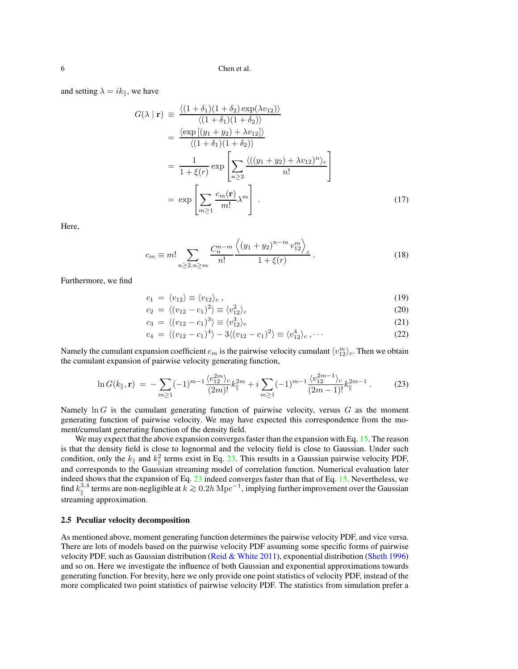<span id="page-5-1"></span>and setting  $\lambda = ik_{\parallel}$ , we have

$$
G(\lambda \mid \mathbf{r}) = \frac{\langle (1 + \delta_1)(1 + \delta_2) \exp(\lambda v_{12}) \rangle}{\langle (1 + \delta_1)(1 + \delta_2) \rangle}
$$
  
= 
$$
\frac{\langle \exp[(y_1 + y_2) + \lambda v_{12}] \rangle}{\langle (1 + \delta_1)(1 + \delta_2) \rangle}
$$
  
= 
$$
\frac{1}{1 + \xi(r)} \exp\left[\sum_{n \ge 2} \frac{\langle ((y_1 + y_2) + \lambda v_{12})^n \rangle_c}{n!} \right]
$$
  
= 
$$
\exp\left[\sum_{m \ge 1} \frac{c_m(\mathbf{r})}{m!} \lambda^m \right].
$$
 (17)

Here,

$$
c_m \equiv m! \sum_{n \ge 2, n \ge m} \frac{C_n^{n-m}}{n!} \frac{\left( (y_1 + y_2)^{n-m} v_{12}^m \right)_c}{1 + \xi(r)} \,. \tag{18}
$$

Furthermore, we find

$$
c_1 = \langle v_{12} \rangle \equiv \langle v_{12} \rangle_c \,, \tag{19}
$$

$$
c_2 = \langle (v_{12} - c_1)^2 \rangle \equiv \langle v_{12}^2 \rangle_c \tag{20}
$$

$$
c_3 = \langle (v_{12} - c_1)^3 \rangle \equiv \langle v_{12}^3 \rangle_c \tag{21}
$$

$$
c_4 = \langle (v_{12} - c_1)^4 \rangle - 3 \langle (v_{12} - c_1)^2 \rangle \equiv \langle v_{12}^4 \rangle_c, \cdots
$$
 (22)

Namely the cumulant expansion coefficient  $c_m$  is the pairwise velocity cumulant  $\langle v_{12}^m \rangle_c$ . Then we obtain the cumulant expansion of pairwise velocity generating function,

<span id="page-5-0"></span>
$$
\ln G(k_{\parallel}, \mathbf{r}) = -\sum_{m \ge 1} (-1)^{m-1} \frac{\langle v_{12}^{2m} \rangle_c}{(2m)!} k_{\parallel}^{2m} + i \sum_{m \ge 1} (-1)^{m-1} \frac{\langle v_{12}^{2m-1} \rangle_c}{(2m-1)!} k_{\parallel}^{2m-1} . \tag{23}
$$

Namely  $\ln G$  is the cumulant generating function of pairwise velocity, versus G as the moment generating function of pairwise velocity. We may have expected this correspondence from the moment/cumulant generating function of the density field.

We may expect that the above expansion converges faster than the expansion with Eq. [15.](#page-4-1) The reason is that the density field is close to lognormal and the velocity field is close to Gaussian. Under such condition, only the  $k_{\parallel}$  and  $k_{\parallel}^2$  terms exist in Eq. [23.](#page-5-0) This results in a Gaussian pairwise velocity PDF, and corresponds to the Gaussian streaming model of correlation function. Numerical evaluation later indeed shows that the expansion of Eq. [23](#page-5-0) indeed converges faster than that of Eq. [15.](#page-4-1) Nevertheless, we find  $k_{\parallel}^{3,4}$ <sup>3,4</sup> terms are non-negligible at  $k \gtrsim 0.2h{\rm\,Mpc}^{-1}$ , implying further improvement over the Gaussian streaming approximation.

# 2.5 Peculiar velocity decomposition

As mentioned above, moment generating function determines the pairwise velocity PDF, and vice versa. There are lots of models based on the pairwise velocity PDF assuming some specific forms of pairwise velocity PDF, such as Gaussian distribution [\(Reid & White 2011](#page-18-31)), exponential distribution [\(Sheth 1996\)](#page-18-32) and so on. Here we investigate the influence of both Gaussian and exponential approximations towards generating function. For brevity, here we only provide one point statistics of velocity PDF, instead of the more complicated two point statistics of pairwise velocity PDF. The statistics from simulation prefer a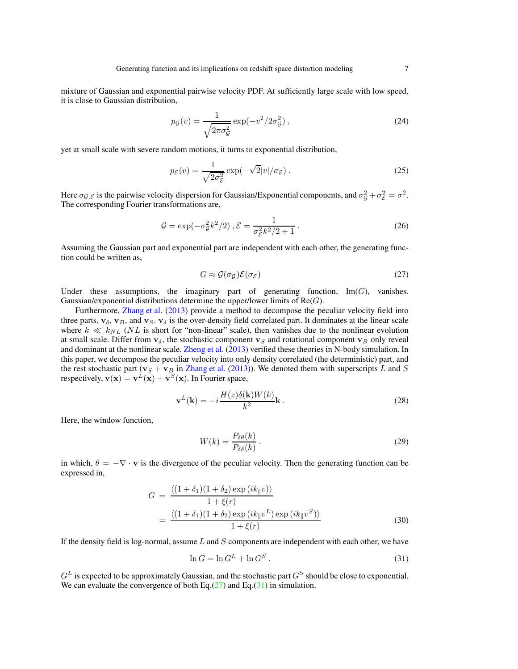<span id="page-6-3"></span>mixture of Gaussian and exponential pairwise velocity PDF. At sufficiently large scale with low speed, it is close to Gaussian distribution,

$$
p_{\mathcal{G}}(v) = \frac{1}{\sqrt{2\pi\sigma_{\mathcal{G}}^2}} \exp(-v^2/2\sigma_{\mathcal{G}}^2) ,\qquad(24)
$$

yet at small scale with severe random motions, it turns to exponential distribution,

$$
p_{\mathcal{E}}(v) = \frac{1}{\sqrt{2\sigma_{\mathcal{E}}^2}} \exp(-\sqrt{2}|v|/\sigma_{\mathcal{E}}).
$$
 (25)

Here  $\sigma_{\mathcal{G},\mathcal{E}}$  is the pairwise velocity dispersion for Gaussian/Exponential components, and  $\sigma_{\mathcal{G}}^2 + \sigma_{\mathcal{E}}^2 = \sigma^2$ . The corresponding Fourier transformations are,

$$
\mathcal{G} = \exp(-\sigma_{\mathcal{G}}^2 k^2 / 2), \mathcal{E} = \frac{1}{\sigma_{\mathcal{E}}^2 k^2 / 2 + 1}.
$$
 (26)

Assuming the Gaussian part and exponential part are independent with each other, the generating function could be written as,

<span id="page-6-0"></span>
$$
G \approx \mathcal{G}(\sigma_{\mathcal{G}})\mathcal{E}(\sigma_{\mathcal{E}})
$$
 (27)

Under these assumptions, the imaginary part of generating function,  $\text{Im}(G)$ , vanishes. Gaussian/exponential distributions determine the upper/lower limits of  $Re(G)$ .

Furthermore, [Zhang et al.](#page-18-24) [\(2013\)](#page-18-24) provide a method to decompose the peculiar velocity field into three parts,  $\mathbf{v}_{\delta}$ ,  $\mathbf{v}_{B}$ , and  $\mathbf{v}_{S}$ .  $\mathbf{v}_{\delta}$  is the over-density field correlated part. It dominates at the linear scale where  $k \ll k_{NL}$  (NL is short for "non-linear" scale), then vanishes due to the nonlinear evolution at small scale. Differ from  $v_{\delta}$ , the stochastic component  $v_S$  and rotational component  $v_B$  only reveal and dominant at the nonlinear scale. [Zheng et al.](#page-18-27) [\(2013](#page-18-27)) verified these theories in N-body simulation. In this paper, we decompose the peculiar velocity into only density correlated (the deterministic) part, and the rest stochastic part ( $v_S + v_B$  in [Zhang et al.](#page-18-24) [\(2013\)](#page-18-24)). We denoted them with superscripts L and S respectively,  $\mathbf{v}(\mathbf{x}) = \mathbf{v}^{\hat{L}}(\mathbf{x}) + \mathbf{v}^{\hat{S}}(\mathbf{x})$ . In Fourier space,

<span id="page-6-2"></span>
$$
\mathbf{v}^{L}(\mathbf{k}) = -i \frac{H(z)\delta(\mathbf{k})W(k)}{k^2} \mathbf{k} .
$$
 (28)

Here, the window function,

$$
W(k) = \frac{P_{\delta\theta}(k)}{P_{\delta\delta}(k)}\,. \tag{29}
$$

in which,  $\theta = -\nabla \cdot \mathbf{v}$  is the divergence of the peculiar velocity. Then the generating function can be expressed in,

$$
G = \frac{\langle (1+\delta_1)(1+\delta_2) \exp(ik_{\parallel}v) \rangle}{1+\xi(r)}
$$
  
= 
$$
\frac{\langle (1+\delta_1)(1+\delta_2) \exp(ik_{\parallel}v^L) \exp(ik_{\parallel}v^S) \rangle}{1+\xi(r)}
$$
(30)

If the density field is log-normal, assume  $L$  and  $S$  components are independent with each other, we have

<span id="page-6-1"></span>
$$
\ln G = \ln G^L + \ln G^S \,. \tag{31}
$$

 $G^L$  is expected to be approximately Gaussian, and the stochastic part  $G^S$  should be close to exponential. We can evaluate the convergence of both Eq.[\(27\)](#page-6-0) and Eq.[\(31\)](#page-6-1) in simulation.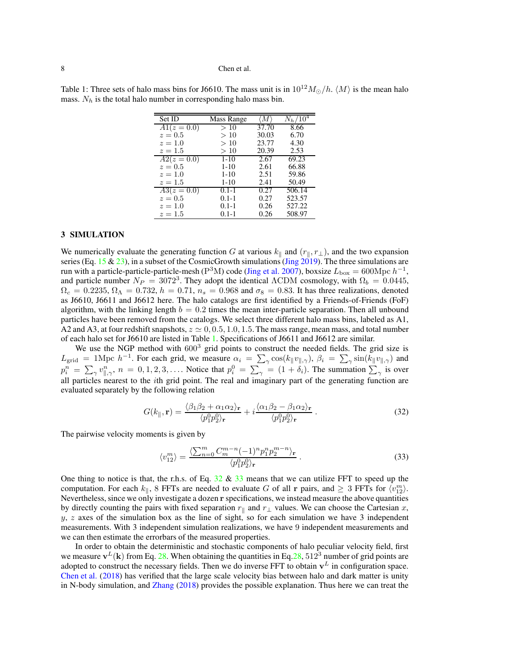| Set ID      | Mass Range | Μ     | $N_h/\overline{10^4}$ |
|-------------|------------|-------|-----------------------|
| $A1(z=0.0)$ | >10        | 37.70 | 8.66                  |
| $z=0.5$     | >10        | 30.03 | 6.70                  |
| $z=1.0$     | >10        | 23.77 | 4.30                  |
| $z=1.5$     | >10        | 20.39 | 2.53                  |
| $A2(z=0.0)$ | $1 - 10$   | 2.67  | 69.23                 |
| $z=0.5$     | $1-10$     | 2.61  | 66.88                 |
| $z=1.0$     | $1-10$     | 2.51  | 59.86                 |
| $z=1.5$     | $1 - 10$   | 2.41  | 50.49                 |
| $A3(z=0.0)$ | $0.1 - 1$  | 0.27  | 506.14                |
| $z=0.5$     | $0.1 - 1$  | 0.27  | 523.57                |
| $z=1.0$     | $0.1 - 1$  | 0.26  | 527.22                |
| $z = 1.5$   | $0.1 - 1$  | 0.26  | 508.97                |

<span id="page-7-3"></span><span id="page-7-0"></span>Table 1: Three sets of halo mass bins for J6610. The mass unit is in  $10^{12} M_{\odot}/h$ .  $\langle M \rangle$  is the mean halo mass.  $N_h$  is the total halo number in corresponding halo mass bin.

# 3 SIMULATION

We numerically evaluate the generating function G at various  $k_{\parallel}$  and  $(r_{\parallel}, r_{\perp})$ , and the two expansion series (Eq. [15](#page-4-1) & [23\)](#page-5-0), in a subset of the CosmicGrowth simulations [\(Jing 2019\)](#page-17-23). The three simulations are run with a particle-particle-particle-mesh ( $P^{3}M$ ) code [\(Jing et al. 2007\)](#page-17-24), boxsize  $L_{\text{box}} = 600 \text{Mpc } h^{-1}$ , and particle number  $N_P = 3072^3$ . They adopt the identical  $\Lambda$ CDM cosmology, with  $\Omega_b = 0.0445$ ,  $\Omega_c = 0.2235, \Omega_\Lambda = 0.732, h = 0.71, n_s = 0.968$  and  $\sigma_8 = 0.83$ . It has three realizations, denoted as J6610, J6611 and J6612 here. The halo catalogs are first identified by a Friends-of-Friends (FoF) algorithm, with the linking length  $b = 0.2$  times the mean inter-particle separation. Then all unbound particles have been removed from the catalogs. We select three different halo mass bins, labeled as A1, A2 and A3, at four redshift snapshots,  $z \approx 0, 0.5, 1.0, 1.5$ . The mass range, mean mass, and total number of each halo set for J6610 are listed in Table [1.](#page-7-0) Specifications of J6611 and J6612 are similar.

We use the NGP method with  $600<sup>3</sup>$  grid points to construct the needed fields. The grid size is  $L_{\text{grid}} = 1 \text{Mpc } h^{-1}$ . For each grid, we measure  $\alpha_i = \sum_{\gamma} \cos(k_{\parallel} v_{\parallel,\gamma})$ ,  $\beta_i = \sum_{\gamma} \sin(k_{\parallel} v_{\parallel,\gamma})$  and  $p_i^n = \sum_{\gamma} v_{\parallel,\gamma}^n$ ,  $n = 0, 1, 2, 3, \ldots$ . Notice that  $p_i^0 = \sum_{\gamma} = (1 + \delta_i)$ . The summation  $\sum_{\gamma}$  is over all particles nearest to the ith grid point. The real and imaginary part of the generating function are evaluated separately by the following relation

<span id="page-7-1"></span>
$$
G(k_{\parallel}, \mathbf{r}) = \frac{\langle \beta_1 \beta_2 + \alpha_1 \alpha_2 \rangle_{\mathbf{r}}}{\langle p_1^0 p_2^0 \rangle_{\mathbf{r}}} + i \frac{\langle \alpha_1 \beta_2 - \beta_1 \alpha_2 \rangle_{\mathbf{r}}}{\langle p_1^0 p_2^0 \rangle_{\mathbf{r}}}.
$$
 (32)

The pairwise velocity moments is given by

<span id="page-7-2"></span>
$$
\langle v_{12}^m \rangle = \frac{\langle \sum_{n=0}^m C_m^{m-n} (-1)^n p_1^n p_2^{m-n} \rangle_{\mathbf{r}}}{\langle p_1^0 p_2^0 \rangle_{\mathbf{r}}}.
$$
\n(33)

One thing to notice is that, the r.h.s. of Eq.  $32 \& 33$  $32 \& 33$  $32 \& 33$  means that we can utilize FFT to speed up the computation. For each  $k_{\parallel}$ , 8 FFTs are needed to evaluate G of all r pairs, and  $\geq 3$  FFTs for  $\langle v_{12}^m \rangle$ . Nevertheless, since we only investigate a dozen r specifications, we instead measure the above quantities by directly counting the pairs with fixed separation  $r_{\parallel}$  and  $r_{\perp}$  values. We can choose the Cartesian x,  $y, z$  axes of the simulation box as the line of sight, so for each simulation we have 3 independent measurements. With 3 independent simulation realizations, we have 9 independent measurements and we can then estimate the errorbars of the measured properties.

In order to obtain the deterministic and stochastic components of halo peculiar velocity field, first we measure  $\mathbf{v}^L(\mathbf{k})$  from Eq. [28.](#page-6-2) When obtaining the quantities in Eq. 28, 512<sup>3</sup> number of grid points are adopted to construct the necessary fields. Then we do inverse FFT to obtain  $v<sup>L</sup>$  in configuration space. [Chen et al.](#page-17-15) [\(2018](#page-17-15)) has verified that the large scale velocity bias between halo and dark matter is unity in N-body simulation, and [Zhang](#page-18-18) [\(2018\)](#page-18-18) provides the possible explanation. Thus here we can treat the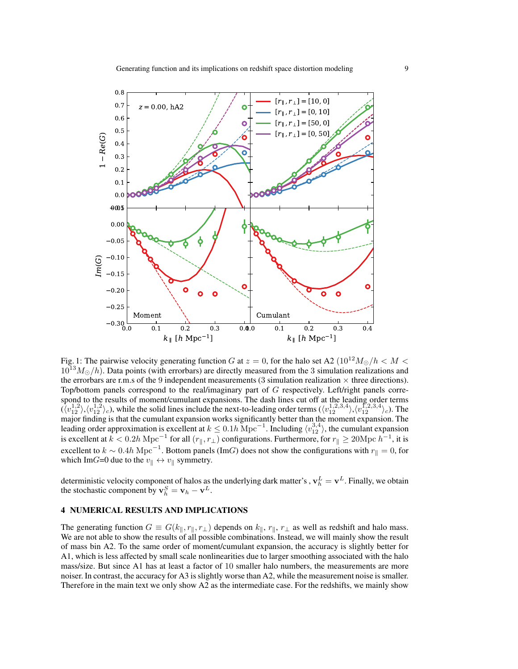<span id="page-8-0"></span>

Fig. 1: The pairwise velocity generating function G at  $z = 0$ , for the halo set A2 ( $10^{12} M_{\odot}/h < M <$  $10^{13}M_{\odot}/h$ ). Data points (with errorbars) are directly measured from the 3 simulation realizations and the errorbars are r.m.s of the 9 independent measurements (3 simulation realization  $\times$  three directions). Top/bottom panels correspond to the real/imaginary part of G respectively. Left/right panels correspond to the results of moment/cumulant expansions. The dash lines cut off at the leading order terms  $(\langle v_{12}^{1,2} \rangle, \langle v_{12}^{1,2} \rangle_c)$ , while the solid lines include the next-to-leading order terms  $(\langle v_{12}^{1,2,3,4} \rangle, \langle v_{12}^{1,2,3,4} \rangle_c)$ . The major finding is that the cumulant expansion works significantly better than the moment expansion. The leading order approximation is excellent at  $k \le 0.1h{\rm\;Mpc}^{-1}$ . Including  $\langle v_{12}^{3,4} \rangle$ , the cumulant expansion is excellent at  $k < 0.2h{\rm\;Mpc}^{-1}$  for all  $(r_{\parallel}, r_{\perp})$  configurations. Furthermore, for  $r_{\parallel} \ge 20{\rm\;Mpc}\ h^{-1}$ , it is excellent to  $k \sim 0.4h{\rm\;Mpc}^{-1}$ . Bottom panels (ImG) does not show the configurations with  $r_{\parallel} = 0$ , for which ImG=0 due to the  $v_{\parallel} \leftrightarrow v_{\parallel}$  symmetry.

deterministic velocity component of halos as the underlying dark matter's ,  $\mathbf{v}_h^L = \mathbf{v}^L$ . Finally, we obtain the stochastic component by  $\mathbf{v}_h^S = \mathbf{v}_h - \mathbf{v}^L$ .

# 4 NUMERICAL RESULTS AND IMPLICATIONS

The generating function  $G \equiv G(k_{\parallel}, r_{\parallel}, r_{\perp})$  depends on  $k_{\parallel}, r_{\parallel}, r_{\perp}$  as well as redshift and halo mass. We are not able to show the results of all possible combinations. Instead, we will mainly show the result of mass bin A2. To the same order of moment/cumulant expansion, the accuracy is slightly better for A1, which is less affected by small scale nonlinearities due to larger smoothing associated with the halo mass/size. But since A1 has at least a factor of 10 smaller halo numbers, the measurements are more noiser. In contrast, the accuracy for A3 is slightly worse than A2, while the measurement noise is smaller. Therefore in the main text we only show A2 as the intermediate case. For the redshifts, we mainly show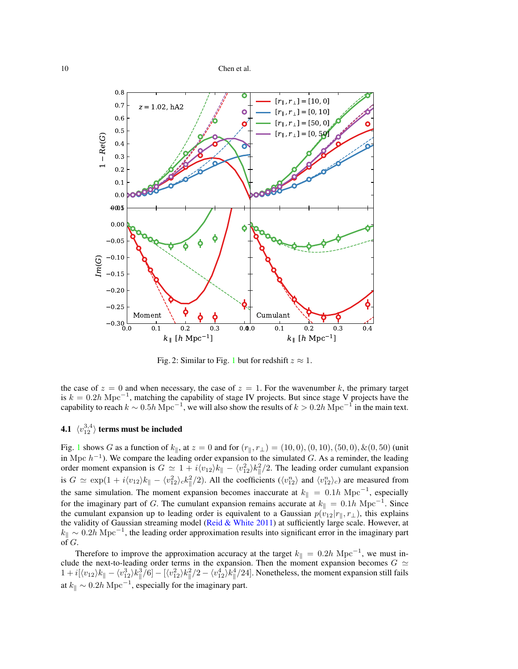<span id="page-9-1"></span><span id="page-9-0"></span>

Fig. 2: Similar to Fig. [1](#page-8-0) but for redshift  $z \approx 1$ .

the case of  $z = 0$  and when necessary, the case of  $z = 1$ . For the wavenumber k, the primary target is  $k = 0.2h \text{ Mpc}^{-1}$ , matching the capability of stage IV projects. But since stage V projects have the capability to reach  $k \sim 0.5h$  Mpc<sup>-1</sup>, we will also show the results of  $k > 0.2h$  Mpc<sup>-1</sup> in the main text.

# 4.1  $\langle v^{3,4}_{12} \rangle$  terms must be included

Fig. [1](#page-8-0) shows G as a function of  $k_{\parallel}$ , at  $z = 0$  and for  $(r_{\parallel}, r_{\perp}) = (10, 0), (0, 10), (50, 0), \& (0, 50)$  (unit in Mpc  $h^{-1}$ ). We compare the leading order expansion to the simulated G. As a reminder, the leading order moment expansion is  $G \simeq 1 + i \langle v_{12} \rangle k_{\parallel} - \langle v_{12}^2 \rangle k_{\parallel}^2/2$ . The leading order cumulant expansion is  $G \simeq \exp(1 + i \langle v_{12} \rangle k_{\parallel} - \langle v_{12}^2 \rangle_c k_{\parallel}^2/2)$ . All the coefficients  $(\langle v_{12}^n \rangle$  and  $\langle v_{12}^n \rangle_c)$  are measured from the same simulation. The moment expansion becomes inaccurate at  $k_{\parallel} = 0.1h \text{ Mpc}^{-1}$ , especially for the imaginary part of G. The cumulant expansion remains accurate at  $k_{\parallel} = 0.1h{\rm\;Mpc}^{-1}$ . Since the cumulant expansion up to leading order is equivalent to a Gaussian  $p(v_{12}|r_{\parallel}, r_{\perp})$ , this explains the validity of Gaussian streaming model [\(Reid & White 2011](#page-18-31)) at sufficiently large scale. However, at  $k_{\parallel} \sim 0.2h{\rm\;Mpc^{-1}}$ , the leading order approximation results into significant error in the imaginary part of  $G$ .

Therefore to improve the approximation accuracy at the target  $k_{\parallel} = 0.2h \text{ Mpc}^{-1}$ , we must include the next-to-leading order terms in the expansion. Then the moment expansion becomes  $G \simeq$  $1 + i[\langle v_{12} \rangle k_{\parallel} - \langle v_{12}^3 \rangle k_{\parallel}^3/6] - [\langle v_{12}^2 \rangle k_{\parallel}^2/2 - \langle v_{12}^4 \rangle k_{\parallel}^4/24]$ . Nonetheless, the moment expansion still fails at  $k_{\parallel} \sim 0.2h{\rm\;Mpc}^{-1}$ , especially for the imaginary part.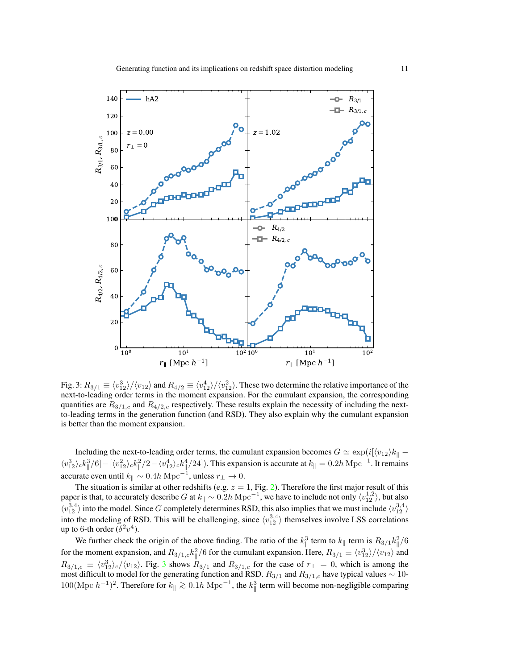<span id="page-10-0"></span>

Fig. 3:  $R_{3/1} \equiv \frac{\langle v_{12}^3 \rangle}{\langle v_{12} \rangle}$  and  $R_{4/2} \equiv \frac{\langle v_{12}^4 \rangle}{\langle v_{12}^2 \rangle}$ . These two determine the relative importance of the next-to-leading order terms in the moment expansion. For the cumulant expansion, the corresponding quantities are  $R_{3/1,c}$  and  $R_{4/2,c}$  respectively. These results explain the necessity of including the nextto-leading terms in the generation function (and RSD). They also explain why the cumulant expansion is better than the moment expansion.

Including the next-to-leading order terms, the cumulant expansion becomes  $G \simeq \exp(i[\langle v_{12} \rangle k_{\parallel} - \langle v_{12} \rangle k_{\parallel} - \langle v_{12} \rangle k_{\parallel} - \langle v_{12} \rangle k_{\parallel} - \langle v_{12} \rangle k_{\parallel} - \langle v_{12} \rangle k_{\parallel} - \langle v_{12} \rangle k_{\parallel} - \langle v_{12} \rangle k_{\parallel} - \langle v_{12} \rangle k_{\parallel} - \langle v$  $\langle v_{12}^3 \rangle_c k_{\parallel}^3/6] - [\langle v_{12}^2 \rangle_c k_{\parallel}^2/2 - \langle v_{12}^4 \rangle_c k_{\parallel}^4/24]$ ). This expansion is accurate at  $k_{\parallel} = 0.2h{\rm\,Mpc}^{-1}$ . It remains accurate even until  $k_{\parallel} \sim 0.4h{\rm\,Mpc}^{-1}$ , unless  $r_{\perp} \to 0$ .

The situation is similar at other redshifts (e.g.  $z = 1$ , Fig. [2\)](#page-9-0). Therefore the first major result of this paper is that, to accurately describe G at  $k_{\parallel} \sim 0.2h{\rm\,Mpc}^{-1}$ , we have to include not only  $\langle v_{12}^{1,2} \rangle$ , but also  $\langle v_{12}^{3,4} \rangle$  into the model. Since G completely determines RSD, this also implies that we must include  $\langle v_{12}^{3,4} \rangle$ into the modeling of RSD. This will be challenging, since  $\langle v_{12}^{3,4} \rangle$  themselves involve LSS correlations up to 6-th order  $(\delta^2 v^4)$ .

We further check the origin of the above finding. The ratio of the  $k_{\parallel}^3$  term to  $k_{\parallel}$  term is  $R_{3/1}k_{\parallel}^2/6$ for the moment expansion, and  $R_{3/1,c} k_{\parallel}^2/6$  for the cumulant expansion. Here,  $R_{3/1} \equiv \langle v_{12}^3 \rangle / \langle v_{12} \rangle$  and  $R_{3/1,c} \equiv \langle v_{12}^3 \rangle_c / \langle v_{12} \rangle$  $R_{3/1,c} \equiv \langle v_{12}^3 \rangle_c / \langle v_{12} \rangle$  $R_{3/1,c} \equiv \langle v_{12}^3 \rangle_c / \langle v_{12} \rangle$ . Fig. 3 shows  $R_{3/1}$  and  $R_{3/1,c}$  for the case of  $r_{\perp} = 0$ , which is among the most difficult to model for the generating function and RSD.  $R_{3/1}$  and  $R_{3/1,c}$  have typical values  $\sim 10$ - $100(\text{Mpc } h^{-1})^2$ . Therefore for  $k_{\parallel} \gtrsim 0.1h \text{ Mpc}^{-1}$ , the  $k_{\parallel}^3$  term will become non-negligible comparing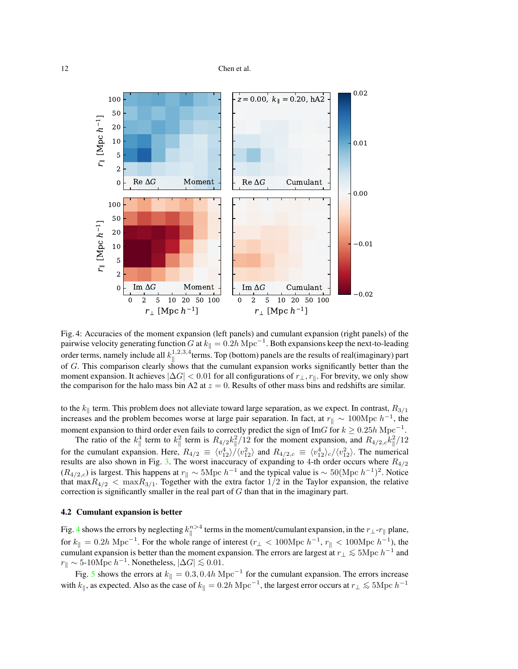<span id="page-11-0"></span>

Fig. 4: Accuracies of the moment expansion (left panels) and cumulant expansion (right panels) of the pairwise velocity generating function G at  $k_{\parallel} = 0.2h{\rm\;Mpc^{-1}}$ . Both expansions keep the next-to-leading order terms, namely include all  $k_{\parallel}^{1,2,3,4}$  $\int_{\parallel}^{1,2,3,4}$  terms. Top (bottom) panels are the results of real(imaginary) part of G. This comparison clearly shows that the cumulant expansion works significantly better than the moment expansion. It achieves  $|\Delta G| < 0.01$  for all configurations of  $r_{\perp}$ ,  $r_{\parallel}$ . For brevity, we only show the comparison for the halo mass bin A2 at  $z = 0$ . Results of other mass bins and redshifts are similar.

to the  $k_{\parallel}$  term. This problem does not alleviate toward large separation, as we expect. In contrast,  $R_{3/1}$ increases and the problem becomes worse at large pair separation. In fact, at  $r_{\parallel} \sim 100 \text{Mpc } h^{-1}$ , the moment expansion to third order even fails to correctly predict the sign of ImG for  $k \ge 0.25h{\rm\;Mpc}^{-1}$ .

The ratio of the  $k_{\parallel}^4$  term to  $k_{\parallel}^2$  term is  $R_{4/2}k_{\parallel}^2/12$  for the moment expansion, and  $R_{4/2,c}k_{\parallel}^2/12$ for the cumulant expansion. Here,  $R_{4/2} \equiv \langle v_{12}^4 \rangle / \langle v_{12}^2 \rangle$  and  $R_{4/2,c} \equiv \langle v_{12}^4 \rangle / \langle v_{12}^2 \rangle$ . The numerical results are also shown in Fig. [3.](#page-10-0) The worst inaccuracy of expanding to 4-th order occurs where  $R_{4/2}$  $(R_{4/2,c})$  is largest. This happens at  $r_{\parallel} \sim 5 \text{Mpc } h^{-1}$  and the typical value is ~ 50(Mpc  $h^{-1})^2$ . Notice that max $R_{4/2}$  < max $R_{3/1}$ . Together with the extra factor  $1/2$  in the Taylor expansion, the relative correction is significantly smaller in the real part of  $G$  than that in the imaginary part.

#### 4.2 Cumulant expansion is better

Fig. [4](#page-11-0) shows the errors by neglecting  $k_{\parallel}^{n>4}$  terms in the moment/cumulant expansion, in the  $r_{\perp}$ - $r_{\parallel}$  plane, for  $k_{\parallel} = 0.2h \text{ Mpc}^{-1}$ . For the whole range of interest ( $r_{\perp} < 100 \text{ Mpc } h^{-1}$ ,  $r_{\parallel} < 100 \text{ Mpc } h^{-1}$ ), the cumulant expansion is better than the moment expansion. The errors are largest at  $r_{\perp} \lesssim 5 \text{Mpc } h^{-1}$  and  $r_{\parallel} \sim 5{\text -}10 \text{Mpc } h^{-1}$ . Nonetheless,  $|\Delta G| \lesssim 0.01$ .

Fig. [5](#page-12-0) shows the errors at  $k_{\parallel} = 0.3, 0.4h \text{ Mpc}^{-1}$  for the cumulant expansion. The errors increase with  $k_{\parallel}$ , as expected. Also as the case of  $k_{\parallel} = 0.2h{\rm\,Mpc}^{-1}$ , the largest error occurs at  $r_{\perp} \lesssim 5{\rm Mpc}\,h^{-1}$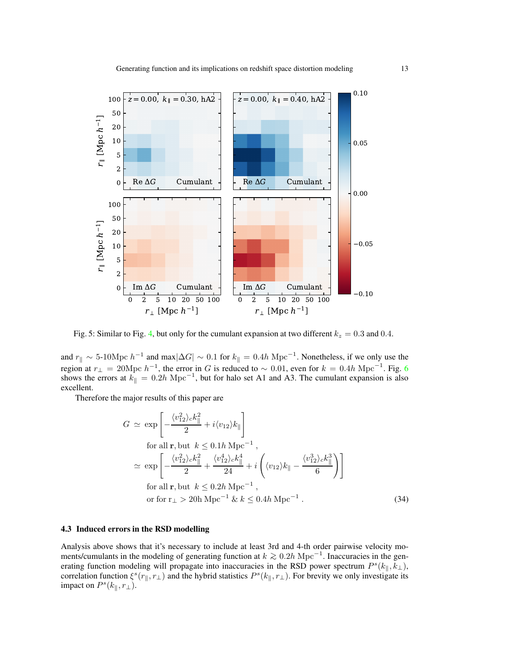<span id="page-12-0"></span>

Fig. 5: Similar to Fig. [4,](#page-11-0) but only for the cumulant expansion at two different  $k_z = 0.3$  and 0.4.

and  $r_{\parallel} \sim 5$ -10Mpc  $h^{-1}$  and max $|\Delta G| \sim 0.1$  for  $k_{\parallel} = 0.4h{\rm\;Mpc}^{-1}$ . Nonetheless, if we only use the region at  $r_{\perp} = 20 \text{Mpc } h^{-1}$ , the error in G is reduced to  $\sim 0.01$ , even for  $k = 0.4h \text{ Mpc}^{-1}$ . Fig. [6](#page-13-0) shows the errors at  $k_{\parallel} = 0.2h \text{ Mpc}^{-1}$ , but for halo set A1 and A3. The cumulant expansion is also excellent.

Therefore the major results of this paper are

$$
G \simeq \exp\left[-\frac{\langle v_{12}^2 \rangle_c k_{\parallel}^2}{2} + i \langle v_{12} \rangle k_{\parallel}\right]
$$
  
for all **r**, but  $k \le 0.1h \text{ Mpc}^{-1}$ ,  

$$
\simeq \exp\left[-\frac{\langle v_{12}^2 \rangle_c k_{\parallel}^2}{2} + \frac{\langle v_{12}^4 \rangle_c k_{\parallel}^4}{24} + i \left(\langle v_{12} \rangle k_{\parallel} - \frac{\langle v_{12}^3 \rangle_c k_{\parallel}^3}{6}\right)\right]
$$
  
for all **r**, but  $k \le 0.2h \text{ Mpc}^{-1}$ ,  
or for  $r_{\perp} > 20h \text{ Mpc}^{-1} \& k \le 0.4h \text{ Mpc}^{-1}$ . (34)

# 4.3 Induced errors in the RSD modelling

Analysis above shows that it's necessary to include at least 3rd and 4-th order pairwise velocity moments/cumulants in the modeling of generating function at  $k \gtrsim 0.2h{\rm Mpc}^{-1}$ . Inaccuracies in the generation at the generation of the generation of the generation of the generation of the generation of the generation of erating function modeling will propagate into inaccuracies in the RSD power spectrum  $P^{s}(k_{\parallel}, k_{\perp})$ , correlation function  $\xi^s(r_{\parallel}, r_{\perp})$  and the hybrid statistics  $P^s(k_{\parallel}, r_{\perp})$ . For brevity we only investigate its impact on  $P^s(k_{\parallel}, r_{\perp}).$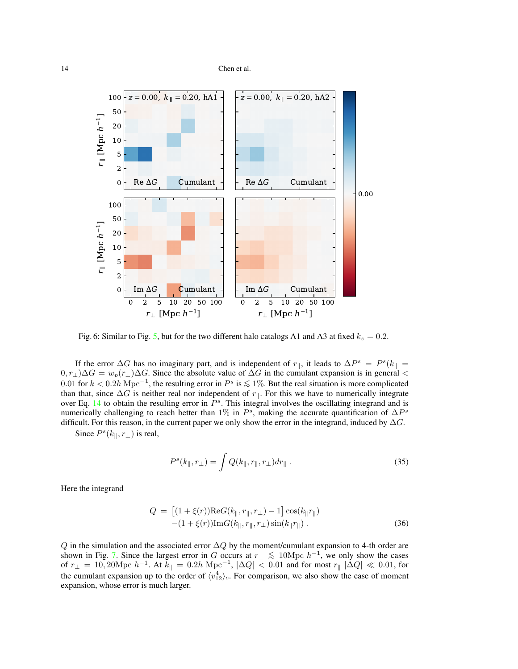<span id="page-13-0"></span>

Fig. 6: Similar to Fig. [5,](#page-12-0) but for the two different halo catalogs A1 and A3 at fixed  $k_z = 0.2$ .

If the error  $\Delta G$  has no imaginary part, and is independent of  $r_{\parallel}$ , it leads to  $\Delta P^s = P^s(k_{\parallel} =$  $(0, r_\perp)\Delta G = w_p(r_\perp)\Delta G$ . Since the absolute value of  $\Delta G$  in the cumulant expansion is in general < 0.01 for  $k < 0.2h$  Mpc<sup>-1</sup>, the resulting error in  $P^s$  is  $\lesssim 1\%$ . But the real situation is more complicated than that since  $\Lambda C$  is neither real non-independent of n. For this we have to numerically integrated than that, since  $\Delta G$  is neither real nor independent of  $r_{\parallel}$ . For this we have to numerically integrate over Eq. [14](#page-4-2) to obtain the resulting error in  $P^s$ . This integral involves the oscillating integrand and is numerically challenging to reach better than 1% in  $P^s$ , making the accurate quantification of  $\Delta P^s$ difficult. For this reason, in the current paper we only show the error in the integrand, induced by  $\Delta G$ .

Since  $P^{s}(k_{\parallel}, r_{\perp})$  is real,

$$
P^{s}(k_{\parallel},r_{\perp}) = \int Q(k_{\parallel},r_{\parallel},r_{\perp}) dr_{\parallel} . \qquad (35)
$$

Here the integrand

$$
Q = [(1 + \xi(r))\text{Re}G(k_{\parallel}, r_{\parallel}, r_{\perp}) - 1] \cos(k_{\parallel}r_{\parallel}) -(1 + \xi(r))\text{Im}G(k_{\parallel}, r_{\parallel}, r_{\perp}) \sin(k_{\parallel}r_{\parallel}).
$$
 (36)

 $Q$  in the simulation and the associated error  $\Delta Q$  by the moment/cumulant expansion to 4-th order are shown in Fig. [7.](#page-14-0) Since the largest error in G occurs at  $r_{\perp} \lesssim 10 \text{ Mpc } h^{-1}$ , we only show the cases of  $r_{\perp} = 10,20 \text{Mpc } h^{-1}$ . At  $\tilde{k}_{\parallel} = 0.2h \text{ Mpc}^{-1}$ ,  $|\Delta Q| < 0.01$  and for most  $r_{\parallel} |\Delta Q| \ll 0.01$ , for the cumulant expansion up to the order of  $\langle v_{12}^4 \rangle_c$ . For comparison, we also show the case of moment expansion, whose error is much larger.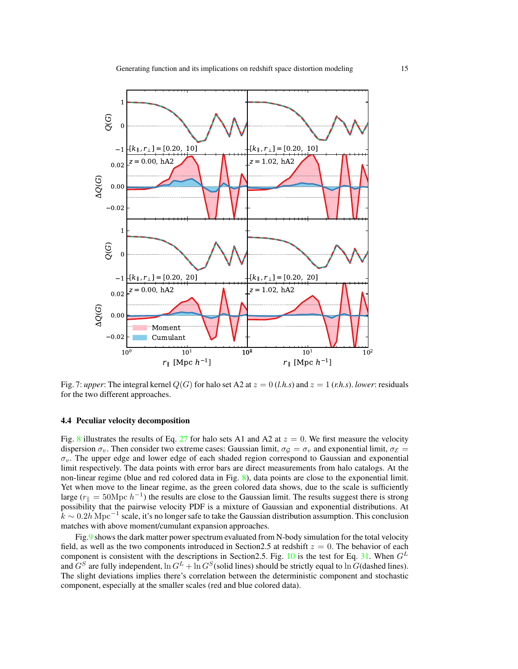<span id="page-14-0"></span>

Fig. 7: *upper*: The integral kernel  $Q(G)$  for halo set A2 at  $z = 0$  (*l.h.s*) and  $z = 1$  (*r.h.s*). *lower*: residuals for the two different approaches.

#### 4.4 Peculiar velocity decomposition

Fig. [8](#page-15-0) illustrates the results of Eq. [27](#page-6-0) for halo sets A1 and A2 at  $z = 0$ . We first measure the velocity dispersion  $\sigma_v$ . Then consider two extreme cases: Gaussian limit,  $\sigma_g = \sigma_v$  and exponential limit,  $\sigma_{\mathcal{E}} =$  $\sigma_v$ . The upper edge and lower edge of each shaded region correspond to Gaussian and exponential limit respectively. The data points with error bars are direct measurements from halo catalogs. At the non-linear regime (blue and red colored data in Fig. [8\)](#page-15-0), data points are close to the exponential limit. Yet when move to the linear regime, as the green colored data shows, due to the scale is sufficiently large ( $r_{\parallel} = 50 \text{Mpc } h^{-1}$ ) the results are close to the Gaussian limit. The results suggest there is strong possibility that the pairwise velocity PDF is a mixture of Gaussian and exponential distributions. At  $k \sim 0.2h{\rm\,Mpc}^{-1}$  scale, it's no longer safe to take the Gaussian distribution assumption. This conclusion matches with above moment/cumulant expansion approaches.

Fig[.9](#page-15-1) shows the dark matter power spectrum evaluated from N-body simulation for the total velocity field, as well as the two components introduced in Section 2.5 at redshift  $z = 0$ . The behavior of each component is consistent with the descriptions in Section2.5. Fig. [10](#page-16-0) is the test for Eq. [31.](#page-6-1) When  $G<sup>L</sup>$ and  $G^S$  are fully independent,  $\ln G^L + \ln G^S$  (solid lines) should be strictly equal to  $\ln G$  (dashed lines). The slight deviations implies there's correlation between the deterministic component and stochastic component, especially at the smaller scales (red and blue colored data).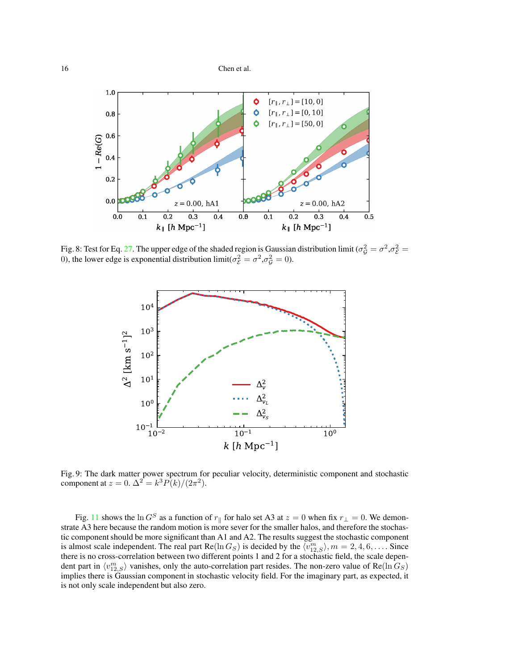<span id="page-15-0"></span>

<span id="page-15-1"></span>Fig. 8: Test for Eq. [27.](#page-6-0) The upper edge of the shaded region is Gaussian distribution limit ( $\sigma_G^2 = \sigma^2, \sigma_E^2 =$ 0), the lower edge is exponential distribution limit( $\sigma_{\mathcal{E}}^2 = \sigma^2, \sigma_{\mathcal{G}}^2 = 0$ ).



Fig. 9: The dark matter power spectrum for peculiar velocity, deterministic component and stochastic component at  $z = 0$ .  $\Delta^2 = k^3 P(k)/(2\pi^2)$ .

Fig. [11](#page-16-1) shows the ln G<sup>S</sup> as a function of  $r_{\parallel}$  for halo set A3 at  $z = 0$  when fix  $r_{\perp} = 0$ . We demonstrate A3 here because the random motion is more sever for the smaller halos, and therefore the stochastic component should be more significant than A1 and A2. The results suggest the stochastic component is almost scale independent. The real part  $\text{Re}(\ln G_S)$  is decided by the  $\langle v_{12,S}^m \rangle$ ,  $m = 2, 4, 6, \ldots$ . Since there is no cross-correlation between two different points 1 and 2 for a stochastic field, the scale dependent part in  $\langle v_{12,S}^m \rangle$  vanishes, only the auto-correlation part resides. The non-zero value of Re(ln  $G_S$ ) implies there is Gaussian component in stochastic velocity field. For the imaginary part, as expected, it is not only scale independent but also zero.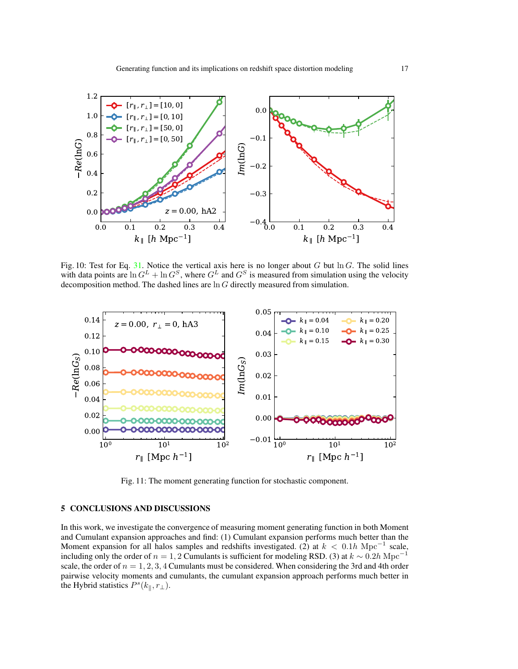<span id="page-16-0"></span>

Fig. 10: Test for Eq. [31.](#page-6-1) Notice the vertical axis here is no longer about G but  $\ln G$ . The solid lines with data points are  $\ln G^L + \ln G^S$ , where  $G^L$  and  $G^S$  is measured from simulation using the velocity decomposition method. The dashed lines are ln G directly measured from simulation.

<span id="page-16-1"></span>

Fig. 11: The moment generating function for stochastic component.

# 5 CONCLUSIONS AND DISCUSSIONS

In this work, we investigate the convergence of measuring moment generating function in both Moment and Cumulant expansion approaches and find: (1) Cumulant expansion performs much better than the Moment expansion for all halos samples and redshifts investigated. (2) at  $k < 0.1h \text{ Mpc}^{-1}$  scale, including only the order of  $n = 1, 2$  Cumulants is sufficient for modeling RSD. (3) at  $k \sim 0.2h$  Mpc<sup>-1</sup> scale, the order of  $n = 1, 2, 3, 4$  Cumulants must be considered. When considering the 3rd and 4th order pairwise velocity moments and cumulants, the cumulant expansion approach performs much better in the Hybrid statistics  $P^{s}(k_{\parallel}, r_{\perp}).$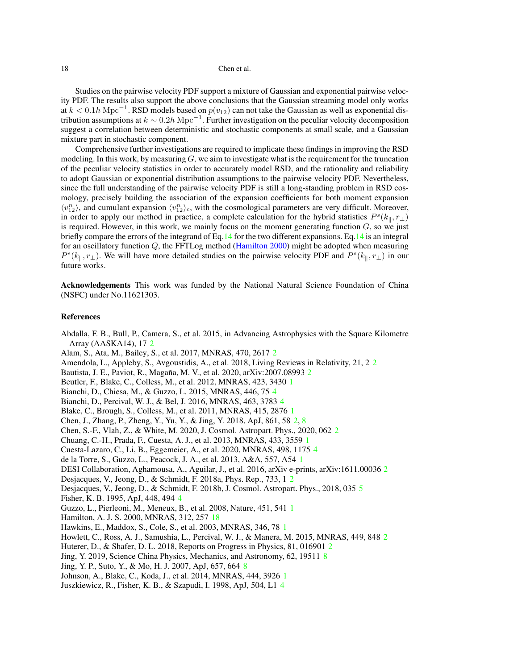<span id="page-17-26"></span>Studies on the pairwise velocity PDF support a mixture of Gaussian and exponential pairwise velocity PDF. The results also support the above conclusions that the Gaussian streaming model only works at  $k < 0.1h{\rm\;Mpc}^{-1}$ . RSD models based on  $p(v_{12})$  can not take the Gaussian as well as exponential distribution assumptions at  $k \sim 0.2h{\rm\;Mpc}^{-1}$ . Further investigation on the peculiar velocity decomposition suggest a correlation between deterministic and stochastic components at small scale, and a Gaussian mixture part in stochastic component.

Comprehensive further investigations are required to implicate these findings in improving the RSD modeling. In this work, by measuring  $G$ , we aim to investigate what is the requirement for the truncation of the peculiar velocity statistics in order to accurately model RSD, and the rationality and reliability to adopt Gaussian or exponential distribution assumptions to the pairwise velocity PDF. Nevertheless, since the full understanding of the pairwise velocity PDF is still a long-standing problem in RSD cosmology, precisely building the association of the expansion coefficients for both moment expansion  $\langle v_{12}^n \rangle$ , and cumulant expansion  $\langle v_{12}^n \rangle_c$ , with the cosmological parameters are very difficult. Moreover, in order to apply our method in practice, a complete calculation for the hybrid statistics  $P^{s}(k_{\parallel}, r_{\perp})$ is required. However, in this work, we mainly focus on the moment generating function  $G$ , so we just briefly compare the errors of the integrand of Eq[.14](#page-4-2) for the two different expansions. Eq[.14](#page-4-2) is an integral for an oscillatory function  $Q$ , the FFTLog method [\(Hamilton 2000](#page-17-25)) might be adopted when measuring  $P^{s}(k_{\parallel}, r_{\perp})$ . We will have more detailed studies on the pairwise velocity PDF and  $P^{s}(k_{\parallel}, r_{\perp})$  in our future works.

Acknowledgements This work was funded by the National Natural Science Foundation of China (NSFC) under No.11621303.

## References

<span id="page-17-12"></span>Abdalla, F. B., Bull, P., Camera, S., et al. 2015, in Advancing Astrophysics with the Square Kilometre Array (AASKA14), 17 [2](#page-1-0)

<span id="page-17-8"></span>Alam, S., Ata, M., Bailey, S., et al. 2017, MNRAS, 470, 2617 [2](#page-1-0)

<span id="page-17-11"></span>Amendola, L., Appleby, S., Avgoustidis, A., et al. 2018, Living Reviews in Relativity, 21, 2 [2](#page-1-0)

<span id="page-17-9"></span>Bautista, J. E., Paviot, R., Magaña, M. V., et al. [2](#page-1-0)020, arXiv:2007.08993 2

<span id="page-17-4"></span>Beutler, F., Blake, C., Colless, M., et al. 2012, MNRAS, 423, 3430 [1](#page-0-0)

<span id="page-17-19"></span>Bianchi, D., Chiesa, M., & Guzzo, L. 2015, MNRAS, 446, 75 [4](#page-3-2)

<span id="page-17-20"></span>Bianchi, D., Percival, W. J., & Bel, J. 2016, MNRAS, 463, 3783 [4](#page-3-2)

<span id="page-17-3"></span>Blake, C., Brough, S., Colless, M., et al. 2011, MNRAS, 415, 2876 [1](#page-0-0)

<span id="page-17-15"></span>Chen, J., Zhang, P., Zheng, Y., Yu, Y., & Jing, Y. 2018, ApJ, 861, 58 [2,](#page-1-0) [8](#page-7-3)

<span id="page-17-16"></span>Chen, S.-F., Vlah, Z., & White, M. 2020, J. Cosmol. Astropart. Phys., 2020, 062 [2](#page-1-0)

<span id="page-17-1"></span>Chuang, C.-H., Prada, F., Cuesta, A. J., et al. 2013, MNRAS, 433, 3559 [1](#page-0-0)

<span id="page-17-21"></span>Cuesta-Lazaro, C., Li, B., Eggemeier, A., et al. 2020, MNRAS, 498, 1175 [4](#page-3-2)

<span id="page-17-6"></span>de la Torre, S., Guzzo, L., Peacock, J. A., et al. 2013, A&A, 557, A54 [1](#page-0-0)

<span id="page-17-10"></span>DESI Collaboration, Aghamousa, A., Aguilar, J., et al. 2016, arXiv e-prints, arXiv:1611.00036 [2](#page-1-0)

<span id="page-17-13"></span>Desjacques, V., Jeong, D., & Schmidt, F. 2018a, Phys. Rep., 733, 1 [2](#page-1-0)

<span id="page-17-22"></span>Desjacques, V., Jeong, D., & Schmidt, F. 2018b, J. Cosmol. Astropart. Phys., 2018, 035 [5](#page-4-3)

<span id="page-17-17"></span>Fisher, K. B. 1995, ApJ, 448, 494 [4](#page-3-2)

<span id="page-17-2"></span>Guzzo, L., Pierleoni, M., Meneux, B., et al. 2008, Nature, 451, 541 [1](#page-0-0)

<span id="page-17-25"></span>Hamilton, A. J. S. 2000, MNRAS, 312, 257 [18](#page-17-26)

<span id="page-17-0"></span>Hawkins, E., Maddox, S., Cole, S., et al. 2003, MNRAS, 346, 78 [1](#page-0-0)

<span id="page-17-7"></span>Howlett, C., Ross, A. J., Samushia, L., Percival, W. J., & Manera, M. 2015, MNRAS, 449, 848 [2](#page-1-0)

<span id="page-17-14"></span>Huterer, D., & Shafer, D. L. 2018, Reports on Progress in Physics, 81, 016901 [2](#page-1-0)

<span id="page-17-23"></span>Jing, Y. 2019, Science China Physics, Mechanics, and Astronomy, 62, 19511 [8](#page-7-3)

<span id="page-17-24"></span>Jing, Y. P., Suto, Y., & Mo, H. J. 2007, ApJ, 657, 664 [8](#page-7-3)

<span id="page-17-5"></span>Johnson, A., Blake, C., Koda, J., et al. 2014, MNRAS, 444, 3926 [1](#page-0-0)

<span id="page-17-18"></span>Juszkiewicz, R., Fisher, K. B., & Szapudi, I. 1998, ApJ, 504, L1 [4](#page-3-2)